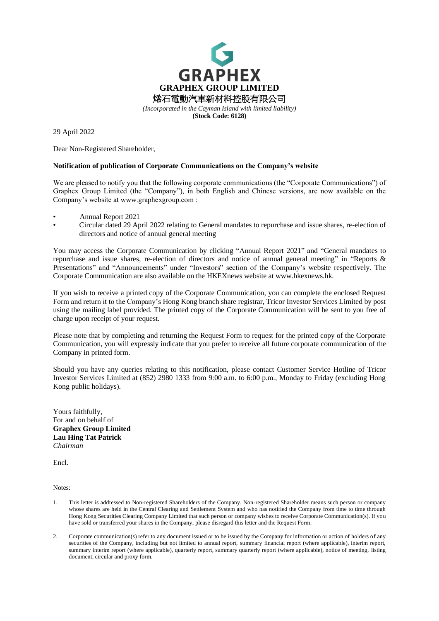

29 April 2022

Dear Non-Registered Shareholder,

## **Notification of publication of Corporate Communications on the Company's website**

We are pleased to notify you that the following corporate communications (the "Corporate Communications") of Graphex Group Limited (the "Company"), in both English and Chinese versions, are now available on the Company's website at www.graphexgroup.com :

- Annual Report 2021
- Circular dated 29 April 2022 relating to General mandates to repurchase and issue shares, re-election of directors and notice of annual general meeting

You may access the Corporate Communication by clicking "Annual Report 2021" and "General mandates to repurchase and issue shares, re-election of directors and notice of annual general meeting" in "Reports & Presentations" and "Announcements" under "Investors" section of the Company's website respectively. The Corporate Communication are also available on the HKEXnews website at www.hkexnews.hk.

If you wish to receive a printed copy of the Corporate Communication, you can complete the enclosed Request Form and return it to the Company's Hong Kong branch share registrar, Tricor Investor Services Limited by post using the mailing label provided. The printed copy of the Corporate Communication will be sent to you free of charge upon receipt of your request.

Please note that by completing and returning the Request Form to request for the printed copy of the Corporate Communication, you will expressly indicate that you prefer to receive all future corporate communication of the Company in printed form.

Should you have any queries relating to this notification, please contact Customer Service Hotline of Tricor Investor Services Limited at (852) 2980 1333 from 9:00 a.m. to 6:00 p.m., Monday to Friday (excluding Hong Kong public holidays).

Yours faithfully, For and on behalf of **Graphex Group Limited Lau Hing Tat Patrick** *Chairman*

Encl.

Notes:

- 1. This letter is addressed to Non-registered Shareholders of the Company. Non-registered Shareholder means such person or company whose shares are held in the Central Clearing and Settlement System and who has notified the Company from time to time through Hong Kong Securities Clearing Company Limited that such person or company wishes to receive Corporate Communication(s). If you have sold or transferred your shares in the Company, please disregard this letter and the Request Form.
- 2. Corporate communication(s) refer to any document issued or to be issued by the Company for information or action of holders of any securities of the Company, including but not limited to annual report, summary financial report (where applicable), interim report, summary interim report (where applicable), quarterly report, summary quarterly report (where applicable), notice of meeting, listing document, circular and proxy form.